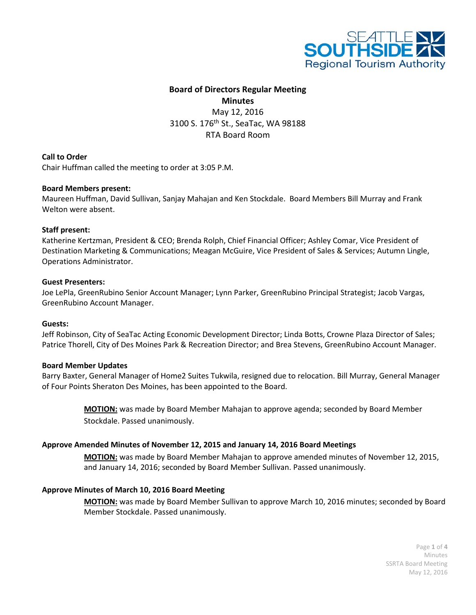

# **Board of Directors Regular Meeting Minutes** May 12, 2016 3100 S. 176<sup>th</sup> St., SeaTac, WA 98188 RTA Board Room

# **Call to Order**

Chair Huffman called the meeting to order at 3:05 P.M.

## **Board Members present:**

Maureen Huffman, David Sullivan, Sanjay Mahajan and Ken Stockdale. Board Members Bill Murray and Frank Welton were absent.

#### **Staff present:**

Katherine Kertzman, President & CEO; Brenda Rolph, Chief Financial Officer; Ashley Comar, Vice President of Destination Marketing & Communications; Meagan McGuire, Vice President of Sales & Services; Autumn Lingle, Operations Administrator.

#### **Guest Presenters:**

Joe LePla, GreenRubino Senior Account Manager; Lynn Parker, GreenRubino Principal Strategist; Jacob Vargas, GreenRubino Account Manager.

#### **Guests:**

Jeff Robinson, City of SeaTac Acting Economic Development Director; Linda Botts, Crowne Plaza Director of Sales; Patrice Thorell, City of Des Moines Park & Recreation Director; and Brea Stevens, GreenRubino Account Manager.

## **Board Member Updates**

Barry Baxter, General Manager of Home2 Suites Tukwila, resigned due to relocation. Bill Murray, General Manager of Four Points Sheraton Des Moines, has been appointed to the Board.

> **MOTION:** was made by Board Member Mahajan to approve agenda; seconded by Board Member Stockdale. Passed unanimously.

## **Approve Amended Minutes of November 12, 2015 and January 14, 2016 Board Meetings**

**MOTION:** was made by Board Member Mahajan to approve amended minutes of November 12, 2015, and January 14, 2016; seconded by Board Member Sullivan. Passed unanimously.

#### **Approve Minutes of March 10, 2016 Board Meeting**

**MOTION:** was made by Board Member Sullivan to approve March 10, 2016 minutes; seconded by Board Member Stockdale. Passed unanimously.

> Page **1** of **4** Minutes SSRTA Board Meeting May 12, 2016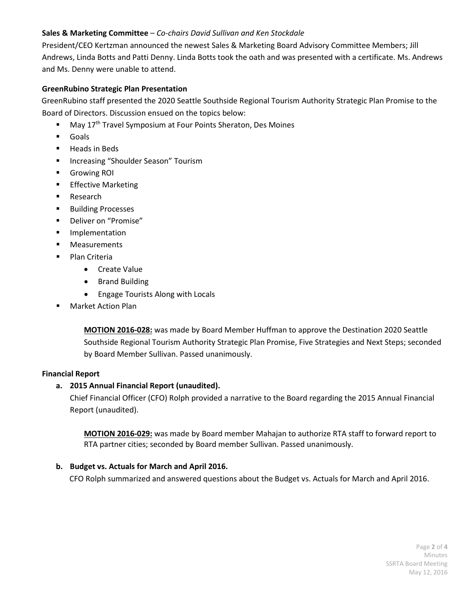# **Sales & Marketing Committee** – *Co-chairs David Sullivan and Ken Stockdale*

President/CEO Kertzman announced the newest Sales & Marketing Board Advisory Committee Members; Jill Andrews, Linda Botts and Patti Denny. Linda Botts took the oath and was presented with a certificate. Ms. Andrews and Ms. Denny were unable to attend.

# **GreenRubino Strategic Plan Presentation**

 GreenRubino staff presented the 2020 Seattle Southside Regional Tourism Authority Strategic Plan Promise to the Board of Directors. Discussion ensued on the topics below:

- May 17th Travel Symposium at Four Points Sheraton, Des Moines
- Goals
- **Heads in Beds**
- **Increasing "Shoulder Season" Tourism**
- Growing ROI
- **Effective Marketing**
- **Research**
- **Building Processes**
- **•** Deliver on "Promise"
- **Implementation**
- **Measurements**
- Plan Criteria
	- Create Value
	- Brand Building
	- Engage Tourists Along with Locals
- Market Action Plan

**MOTION 2016-028:** was made by Board Member Huffman to approve the Destination 2020 Seattle Southside Regional Tourism Authority Strategic Plan Promise, Five Strategies and Next Steps; seconded by Board Member Sullivan. Passed unanimously.

# **Financial Report**

# **a. 2015 Annual Financial Report (unaudited).**

Chief Financial Officer (CFO) Rolph provided a narrative to the Board regarding the 2015 Annual Financial Report (unaudited).

**MOTION 2016-029:** was made by Board member Mahajan to authorize RTA staff to forward report to RTA partner cities; seconded by Board member Sullivan. Passed unanimously.

# **b. Budget vs. Actuals for March and April 2016.**

CFO Rolph summarized and answered questions about the Budget vs. Actuals for March and April 2016.

Page **2** of **4** Minutes SSRTA Board Meeting May 12, 2016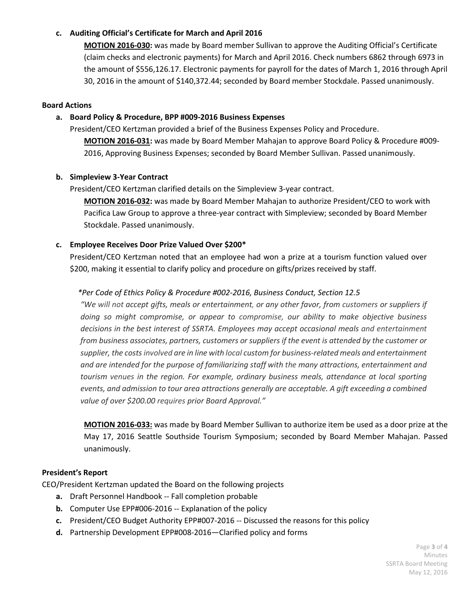# **c. Auditing Official's Certificate for March and April 2016**

**MOTION 2016-030:** was made by Board member Sullivan to approve the Auditing Official's Certificate (claim checks and electronic payments) for March and April 2016. Check numbers 6862 through 6973 in the amount of \$556,126.17. Electronic payments for payroll for the dates of March 1, 2016 through April 30, 2016 in the amount of \$140,372.44; seconded by Board member Stockdale. Passed unanimously.

#### **Board Actions**

### **a. Board Policy & Procedure, BPP #009-2016 Business Expenses**

President/CEO Kertzman provided a brief of the Business Expenses Policy and Procedure.

**MOTION 2016-031:** was made by Board Member Mahajan to approve Board Policy & Procedure #009- 2016, Approving Business Expenses; seconded by Board Member Sullivan. Passed unanimously.

#### **b. Simpleview 3-Year Contract**

President/CEO Kertzman clarified details on the Simpleview 3-year contract.

**MOTION 2016-032:** was made by Board Member Mahajan to authorize President/CEO to work with Pacifica Law Group to approve a three-year contract with Simpleview; seconded by Board Member Stockdale. Passed unanimously.

#### **c. Employee Receives Door Prize Valued Over \$200\***

President/CEO Kertzman noted that an employee had won a prize at a tourism function valued over \$200, making it essential to clarify policy and procedure on gifts/prizes received by staff.

## *\*Per Code of Ethics Policy & Procedure #002-2016, Business Conduct, Section 12.5*

*"We will not accept gifts, meals or entertainment, or any other favor, from customers or suppliers if doing so might compromise, or appear to compromise, our ability to make objective business decisions in the best interest of SSRTA. Employees may accept occasional meals and entertainment from business associates, partners, customers or suppliers if the event is attended by the customer or supplier, the costs involved are in line with local custom for business-related meals and entertainment and are intended for the purpose of familiarizing staff with the many attractions, entertainment and tourism venues in the region. For example, ordinary business meals, attendance at local sporting events, and admission to tour area attractions generally are acceptable. A gift exceeding a combined value of over \$200.00 requires prior Board Approval."*

**MOTION 2016-033:** was made by Board Member Sullivan to authorize item be used as a door prize at the May 17, 2016 Seattle Southside Tourism Symposium; seconded by Board Member Mahajan. Passed unanimously.

## **President's Report**

CEO/President Kertzman updated the Board on the following projects

- **a.** Draft Personnel Handbook -- Fall completion probable
- **b.** Computer Use EPP#006-2016 -- Explanation of the policy
- **c.** President/CEO Budget Authority EPP#007-2016 -- Discussed the reasons for this policy
- **d.** Partnership Development EPP#008-2016—Clarified policy and forms

Page **3** of **4** Minutes SSRTA Board Meeting May 12, 2016